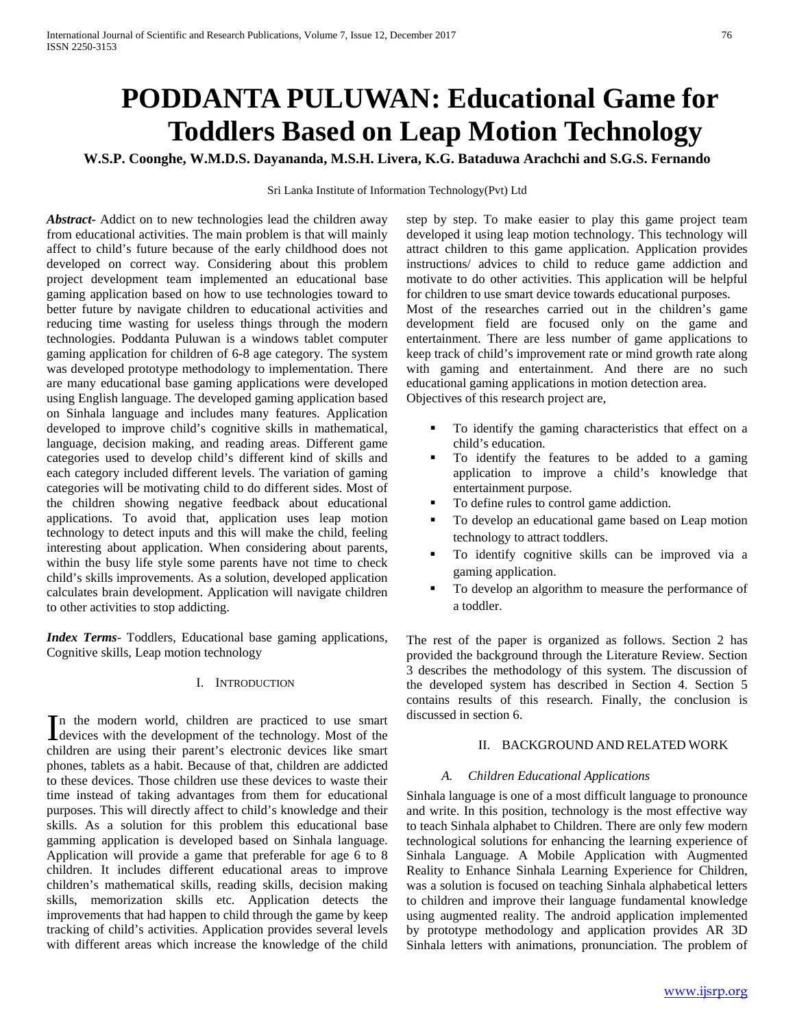# **PODDANTA PULUWAN: Educational Game for Toddlers Based on Leap Motion Technology**

**W.S.P. Coonghe, W.M.D.S. Dayananda, M.S.H. Livera, K.G. Bataduwa Arachchi and S.G.S. Fernando**

Sri Lanka Institute of Information Technology(Pvt) Ltd

*Abstract***-** Addict on to new technologies lead the children away from educational activities. The main problem is that will mainly affect to child's future because of the early childhood does not developed on correct way. Considering about this problem project development team implemented an educational base gaming application based on how to use technologies toward to better future by navigate children to educational activities and reducing time wasting for useless things through the modern technologies. Poddanta Puluwan is a windows tablet computer gaming application for children of 6-8 age category. The system was developed prototype methodology to implementation. There are many educational base gaming applications were developed using English language. The developed gaming application based on Sinhala language and includes many features. Application developed to improve child's cognitive skills in mathematical, language, decision making, and reading areas. Different game categories used to develop child's different kind of skills and each category included different levels. The variation of gaming categories will be motivating child to do different sides. Most of the children showing negative feedback about educational applications. To avoid that, application uses leap motion technology to detect inputs and this will make the child, feeling interesting about application. When considering about parents, within the busy life style some parents have not time to check child's skills improvements. As a solution, developed application calculates brain development. Application will navigate children to other activities to stop addicting.

*Index Terms*- Toddlers, Educational base gaming applications, Cognitive skills, Leap motion technology

### I. INTRODUCTION

n the modern world, children are practiced to use smart In the modern world, children are practiced to use smart devices with the development of the technology. Most of the children are using their parent's electronic devices like smart phones, tablets as a habit. Because of that, children are addicted to these devices. Those children use these devices to waste their time instead of taking advantages from them for educational purposes. This will directly affect to child's knowledge and their skills. As a solution for this problem this educational base gamming application is developed based on Sinhala language. Application will provide a game that preferable for age 6 to 8 children. It includes different educational areas to improve children's mathematical skills, reading skills, decision making skills, memorization skills etc. Application detects the improvements that had happen to child through the game by keep tracking of child's activities. Application provides several levels with different areas which increase the knowledge of the child

step by step. To make easier to play this game project team developed it using leap motion technology. This technology will attract children to this game application. Application provides instructions/ advices to child to reduce game addiction and motivate to do other activities. This application will be helpful for children to use smart device towards educational purposes. Most of the researches carried out in the children's game development field are focused only on the game and entertainment. There are less number of game applications to keep track of child's improvement rate or mind growth rate along with gaming and entertainment. And there are no such educational gaming applications in motion detection area. Objectives of this research project are,

- To identify the gaming characteristics that effect on a child's education.
- To identify the features to be added to a gaming application to improve a child's knowledge that entertainment purpose.
- To define rules to control game addiction.
- To develop an educational game based on Leap motion technology to attract toddlers.
- To identify cognitive skills can be improved via a gaming application.
- To develop an algorithm to measure the performance of a toddler.

The rest of the paper is organized as follows. Section 2 has provided the background through the Literature Review. Section 3 describes the methodology of this system. The discussion of the developed system has described in Section 4. Section 5 contains results of this research. Finally, the conclusion is discussed in section 6.

# II. BACKGROUND AND RELATED WORK

# *A. Children Educational Applications*

Sinhala language is one of a most difficult language to pronounce and write. In this position, technology is the most effective way to teach Sinhala alphabet to Children. There are only few modern technological solutions for enhancing the learning experience of Sinhala Language. A Mobile Application with Augmented Reality to Enhance Sinhala Learning Experience for Children, was a solution is focused on teaching Sinhala alphabetical letters to children and improve their language fundamental knowledge using augmented reality. The android application implemented by prototype methodology and application provides AR 3D Sinhala letters with animations, pronunciation. The problem of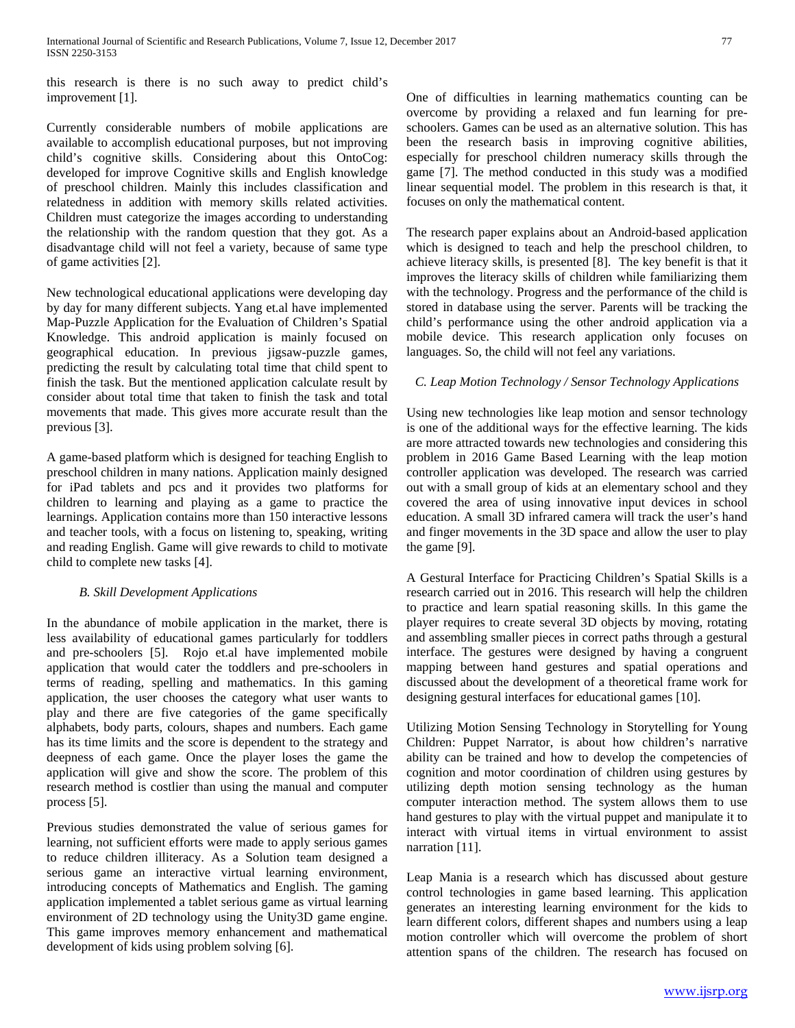this research is there is no such away to predict child's improvement [1].

Currently considerable numbers of mobile applications are available to accomplish educational purposes, but not improving child's cognitive skills. Considering about this OntoCog: developed for improve Cognitive skills and English knowledge of preschool children. Mainly this includes classification and relatedness in addition with memory skills related activities. Children must categorize the images according to understanding the relationship with the random question that they got. As a disadvantage child will not feel a variety, because of same type of game activities [2].

New technological educational applications were developing day by day for many different subjects. Yang et.al have implemented Map-Puzzle Application for the Evaluation of Children's Spatial Knowledge. This android application is mainly focused on geographical education. In previous jigsaw-puzzle games, predicting the result by calculating total time that child spent to finish the task. But the mentioned application calculate result by consider about total time that taken to finish the task and total movements that made. This gives more accurate result than the previous [3].

A game-based platform which is designed for teaching English to preschool children in many nations. Application mainly designed for iPad tablets and pcs and it provides two platforms for children to learning and playing as a game to practice the learnings. Application contains more than 150 interactive lessons and teacher tools, with a focus on listening to, speaking, writing and reading English. Game will give rewards to child to motivate child to complete new tasks [4].

# *B. Skill Development Applications*

In the abundance of mobile application in the market, there is less availability of educational games particularly for toddlers and pre-schoolers [5]. Rojo et.al have implemented mobile application that would cater the toddlers and pre-schoolers in terms of reading, spelling and mathematics. In this gaming application, the user chooses the category what user wants to play and there are five categories of the game specifically alphabets, body parts, colours, shapes and numbers. Each game has its time limits and the score is dependent to the strategy and deepness of each game. Once the player loses the game the application will give and show the score. The problem of this research method is costlier than using the manual and computer process [5].

Previous studies demonstrated the value of serious games for learning, not sufficient efforts were made to apply serious games to reduce children illiteracy. As a Solution team designed a serious game an interactive virtual learning environment, introducing concepts of Mathematics and English. The gaming application implemented a tablet serious game as virtual learning environment of 2D technology using the Unity3D game engine. This game improves memory enhancement and mathematical development of kids using problem solving [6].

One of difficulties in learning mathematics counting can be overcome by providing a relaxed and fun learning for preschoolers. Games can be used as an alternative solution. This has been the research basis in improving cognitive abilities, especially for preschool children numeracy skills through the game [7]. The method conducted in this study was a modified linear sequential model. The problem in this research is that, it focuses on only the mathematical content.

The research paper explains about an Android-based application which is designed to teach and help the preschool children, to achieve literacy skills, is presented [8]. The key benefit is that it improves the literacy skills of children while familiarizing them with the technology. Progress and the performance of the child is stored in database using the server. Parents will be tracking the child's performance using the other android application via a mobile device. This research application only focuses on languages. So, the child will not feel any variations.

# *C. Leap Motion Technology / Sensor Technology Applications*

Using new technologies like leap motion and sensor technology is one of the additional ways for the effective learning. The kids are more attracted towards new technologies and considering this problem in 2016 Game Based Learning with the leap motion controller application was developed. The research was carried out with a small group of kids at an elementary school and they covered the area of using innovative input devices in school education. A small 3D infrared camera will track the user's hand and finger movements in the 3D space and allow the user to play the game [9].

A Gestural Interface for Practicing Children's Spatial Skills is a research carried out in 2016. This research will help the children to practice and learn spatial reasoning skills. In this game the player requires to create several 3D objects by moving, rotating and assembling smaller pieces in correct paths through a gestural interface. The gestures were designed by having a congruent mapping between hand gestures and spatial operations and discussed about the development of a theoretical frame work for designing gestural interfaces for educational games [10].

Utilizing Motion Sensing Technology in Storytelling for Young Children: Puppet Narrator, is about how children's narrative ability can be trained and how to develop the competencies of cognition and motor coordination of children using gestures by utilizing depth motion sensing technology as the human computer interaction method. The system allows them to use hand gestures to play with the virtual puppet and manipulate it to interact with virtual items in virtual environment to assist narration [11].

Leap Mania is a research which has discussed about gesture control technologies in game based learning. This application generates an interesting learning environment for the kids to learn different colors, different shapes and numbers using a leap motion controller which will overcome the problem of short attention spans of the children. The research has focused on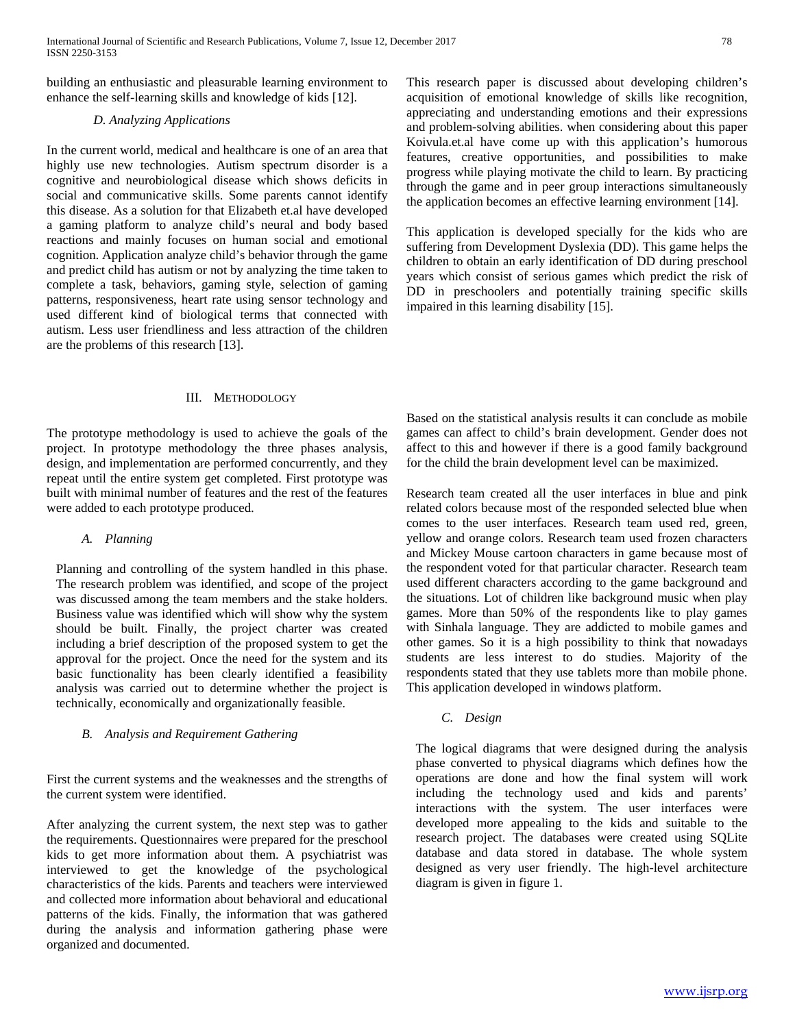building an enthusiastic and pleasurable learning environment to enhance the self-learning skills and knowledge of kids [12].

# *D. Analyzing Applications*

In the current world, medical and healthcare is one of an area that highly use new technologies. Autism spectrum disorder is a cognitive and neurobiological disease which shows deficits in social and communicative skills. Some parents cannot identify this disease. As a solution for that Elizabeth et.al have developed a gaming platform to analyze child's neural and body based reactions and mainly focuses on human social and emotional cognition. Application analyze child's behavior through the game and predict child has autism or not by analyzing the time taken to complete a task, behaviors, gaming style, selection of gaming patterns, responsiveness, heart rate using sensor technology and used different kind of biological terms that connected with autism. Less user friendliness and less attraction of the children are the problems of this research [13].

### III. METHODOLOGY

The prototype methodology is used to achieve the goals of the project. In prototype methodology the three phases analysis, design, and implementation are performed concurrently, and they repeat until the entire system get completed. First prototype was built with minimal number of features and the rest of the features were added to each prototype produced.

# *A. Planning*

Planning and controlling of the system handled in this phase. The research problem was identified, and scope of the project was discussed among the team members and the stake holders. Business value was identified which will show why the system should be built. Finally, the project charter was created including a brief description of the proposed system to get the approval for the project. Once the need for the system and its basic functionality has been clearly identified a feasibility analysis was carried out to determine whether the project is technically, economically and organizationally feasible*.*

# *B. Analysis and Requirement Gathering*

First the current systems and the weaknesses and the strengths of the current system were identified.

After analyzing the current system, the next step was to gather the requirements. Questionnaires were prepared for the preschool kids to get more information about them. A psychiatrist was interviewed to get the knowledge of the psychological characteristics of the kids. Parents and teachers were interviewed and collected more information about behavioral and educational patterns of the kids. Finally, the information that was gathered during the analysis and information gathering phase were organized and documented.

This research paper is discussed about developing children's acquisition of emotional knowledge of skills like recognition, appreciating and understanding emotions and their expressions and problem-solving abilities. when considering about this paper Koivula.et.al have come up with this application's humorous features, creative opportunities, and possibilities to make progress while playing motivate the child to learn. By practicing through the game and in peer group interactions simultaneously the application becomes an effective learning environment [14].

This application is developed specially for the kids who are suffering from Development Dyslexia (DD). This game helps the children to obtain an early identification of DD during preschool years which consist of serious games which predict the risk of DD in preschoolers and potentially training specific skills impaired in this learning disability [15].

Based on the statistical analysis results it can conclude as mobile games can affect to child's brain development. Gender does not affect to this and however if there is a good family background for the child the brain development level can be maximized.

Research team created all the user interfaces in blue and pink related colors because most of the responded selected blue when comes to the user interfaces. Research team used red, green, yellow and orange colors. Research team used frozen characters and Mickey Mouse cartoon characters in game because most of the respondent voted for that particular character. Research team used different characters according to the game background and the situations. Lot of children like background music when play games. More than 50% of the respondents like to play games with Sinhala language. They are addicted to mobile games and other games. So it is a high possibility to think that nowadays students are less interest to do studies. Majority of the respondents stated that they use tablets more than mobile phone. This application developed in windows platform.

*C. Design*

The logical diagrams that were designed during the analysis phase converted to physical diagrams which defines how the operations are done and how the final system will work including the technology used and kids and parents' interactions with the system. The user interfaces were developed more appealing to the kids and suitable to the research project. The databases were created using SQLite database and data stored in database. The whole system designed as very user friendly. The high-level architecture diagram is given in figure 1.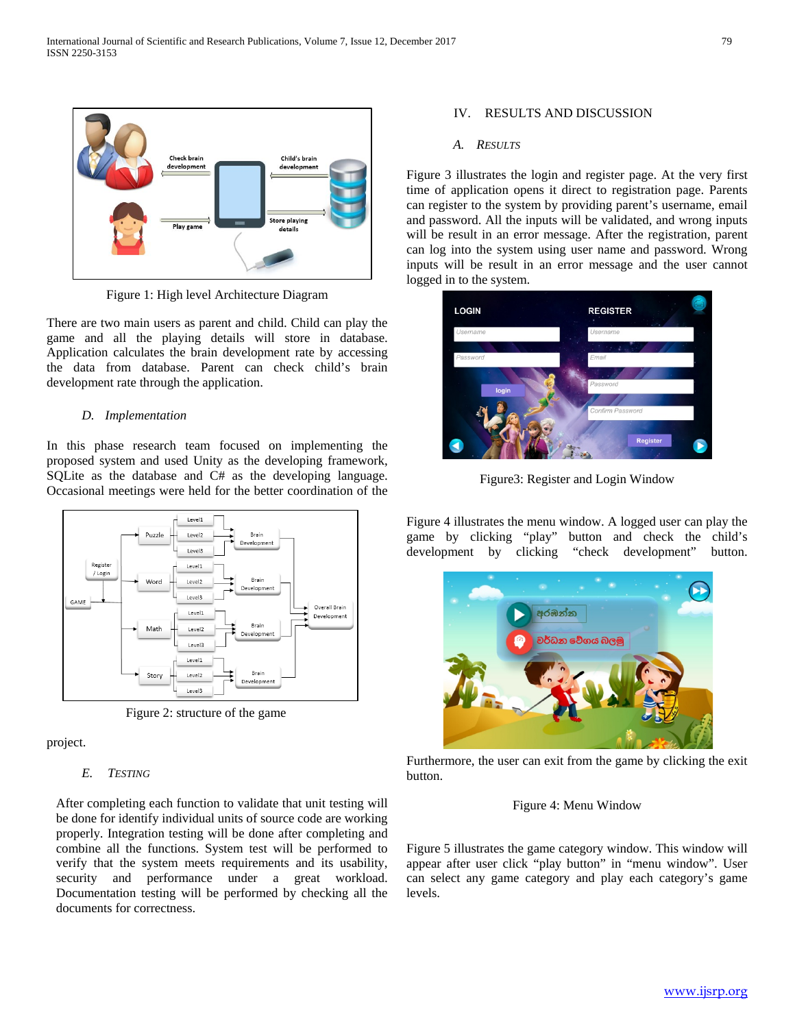

Figure 1: High level Architecture Diagram

There are two main users as parent and child. Child can play the game and all the playing details will store in database. Application calculates the brain development rate by accessing the data from database. Parent can check child's brain development rate through the application.

## *D. Implementation*

In this phase research team focused on implementing the proposed system and used Unity as the developing framework, SQLite as the database and C# as the developing language. Occasional meetings were held for the better coordination of the



Figure 2: structure of the game

project.

## *E. TESTING*

After completing each function to validate that unit testing will be done for identify individual units of source code are working properly. Integration testing will be done after completing and combine all the functions. System test will be performed to verify that the system meets requirements and its usability, security and performance under a great workload. Documentation testing will be performed by checking all the documents for correctness.

## IV. RESULTS AND DISCUSSION

#### *A. RESULTS*

Figure 3 illustrates the login and register page. At the very first time of application opens it direct to registration page. Parents can register to the system by providing parent's username, email and password. All the inputs will be validated, and wrong inputs will be result in an error message. After the registration, parent can log into the system using user name and password. Wrong inputs will be result in an error message and the user cannot logged in to the system.



Figure3: Register and Login Window

Figure 4 illustrates the menu window. A logged user can play the game by clicking "play" button and check the child's development by clicking "check development" button.



Furthermore, the user can exit from the game by clicking the exit button.

# Figure 4: Menu Window

Figure 5 illustrates the game category window. This window will appear after user click "play button" in "menu window". User can select any game category and play each category's game levels.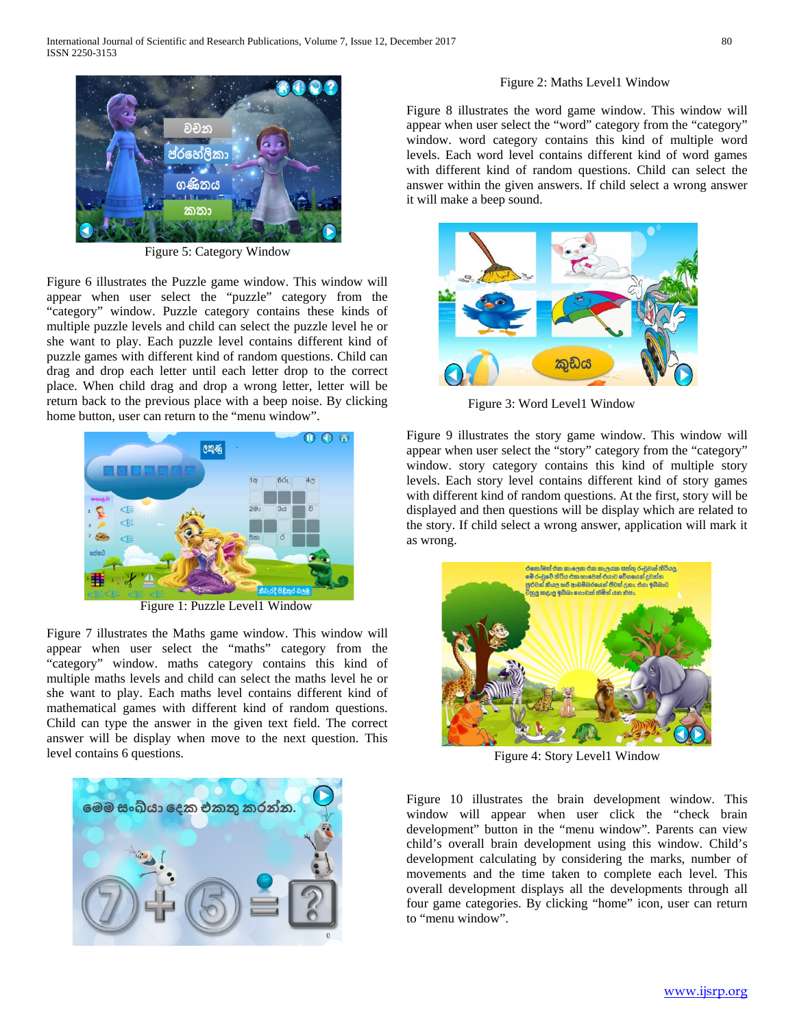



Figure 5: Category Window

Figure 6 illustrates the Puzzle game window. This window will appear when user select the "puzzle" category from the "category" window. Puzzle category contains these kinds of multiple puzzle levels and child can select the puzzle level he or she want to play. Each puzzle level contains different kind of puzzle games with different kind of random questions. Child can drag and drop each letter until each letter drop to the correct place. When child drag and drop a wrong letter, letter will be return back to the previous place with a beep noise. By clicking home button, user can return to the "menu window".



Figure 1: Puzzle Level1 Window

Figure 7 illustrates the Maths game window. This window will appear when user select the "maths" category from the "category" window. maths category contains this kind of multiple maths levels and child can select the maths level he or she want to play. Each maths level contains different kind of mathematical games with different kind of random questions. Child can type the answer in the given text field. The correct answer will be display when move to the next question. This level contains 6 questions.



# Figure 8 illustrates the word game window. This window will appear when user select the "word" category from the "category" window. word category contains this kind of multiple word levels. Each word level contains different kind of word games with different kind of random questions. Child can select the answer within the given answers. If child select a wrong answer it will make a beep sound.



Figure 3: Word Level1 Window

Figure 9 illustrates the story game window. This window will appear when user select the "story" category from the "category" window. story category contains this kind of multiple story levels. Each story level contains different kind of story games with different kind of random questions. At the first, story will be displayed and then questions will be display which are related to the story. If child select a wrong answer, application will mark it as wrong.



Figure 4: Story Level1 Window

Figure 10 illustrates the brain development window. This window will appear when user click the "check brain development" button in the "menu window". Parents can view child's overall brain development using this window. Child's development calculating by considering the marks, number of movements and the time taken to complete each level. This overall development displays all the developments through all four game categories. By clicking "home" icon, user can return to "menu window".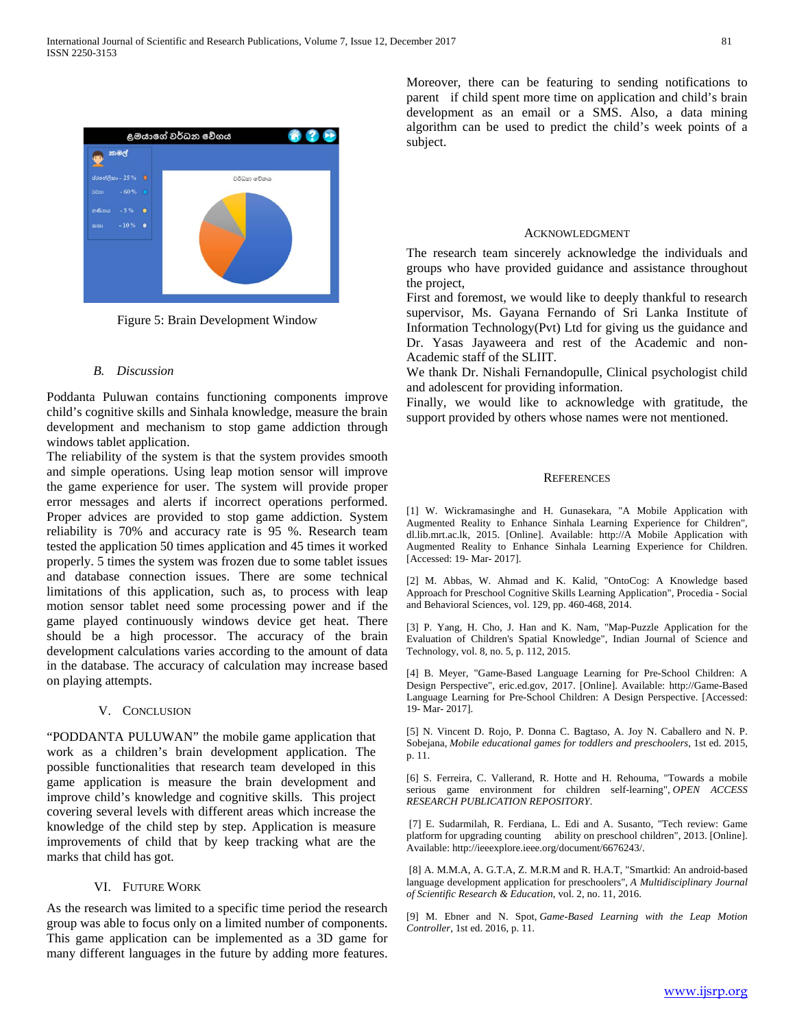

Figure 5: Brain Development Window

#### *B. Discussion*

Poddanta Puluwan contains functioning components improve child's cognitive skills and Sinhala knowledge, measure the brain development and mechanism to stop game addiction through windows tablet application.

The reliability of the system is that the system provides smooth and simple operations. Using leap motion sensor will improve the game experience for user. The system will provide proper error messages and alerts if incorrect operations performed. Proper advices are provided to stop game addiction. System reliability is 70% and accuracy rate is 95 %. Research team tested the application 50 times application and 45 times it worked properly. 5 times the system was frozen due to some tablet issues and database connection issues. There are some technical limitations of this application, such as, to process with leap motion sensor tablet need some processing power and if the game played continuously windows device get heat. There should be a high processor. The accuracy of the brain development calculations varies according to the amount of data in the database. The accuracy of calculation may increase based on playing attempts.

#### V. CONCLUSION

"PODDANTA PULUWAN" the mobile game application that work as a children's brain development application. The possible functionalities that research team developed in this game application is measure the brain development and improve child's knowledge and cognitive skills. This project covering several levels with different areas which increase the knowledge of the child step by step. Application is measure improvements of child that by keep tracking what are the marks that child has got.

#### VI. FUTURE WORK

As the research was limited to a specific time period the research group was able to focus only on a limited number of components. This game application can be implemented as a 3D game for many different languages in the future by adding more features.

Moreover, there can be featuring to sending notifications to parent if child spent more time on application and child's brain development as an email or a SMS. Also, a data mining algorithm can be used to predict the child's week points of a subject.

#### ACKNOWLEDGMENT

The research team sincerely acknowledge the individuals and groups who have provided guidance and assistance throughout the project,

First and foremost, we would like to deeply thankful to research supervisor, Ms. Gayana Fernando of Sri Lanka Institute of Information Technology(Pvt) Ltd for giving us the guidance and Dr. Yasas Jayaweera and rest of the Academic and non-Academic staff of the SLIIT.

We thank Dr. Nishali Fernandopulle, Clinical psychologist child and adolescent for providing information.

Finally, we would like to acknowledge with gratitude, the support provided by others whose names were not mentioned.

### **REFERENCES**

[1] W. Wickramasinghe and H. Gunasekara, "A Mobile Application with Augmented Reality to Enhance Sinhala Learning Experience for Children", dl.lib.mrt.ac.lk, 2015. [Online]. Available: http://A Mobile Application with Augmented Reality to Enhance Sinhala Learning Experience for Children. [Accessed: 19- Mar- 2017].

[2] M. Abbas, W. Ahmad and K. Kalid, "OntoCog: A Knowledge based Approach for Preschool Cognitive Skills Learning Application", Procedia - Social and Behavioral Sciences, vol. 129, pp. 460-468, 2014.

[3] P. Yang, H. Cho, J. Han and K. Nam, "Map-Puzzle Application for the Evaluation of Children's Spatial Knowledge", Indian Journal of Science and Technology, vol. 8, no. 5, p. 112, 2015.

[4] B. Meyer, "Game-Based Language Learning for Pre-School Children: A Design Perspective", eric.ed.gov, 2017. [Online]. Available: http://Game-Based Language Learning for Pre-School Children: A Design Perspective. [Accessed: 19- Mar- 2017].

[5] N. Vincent D. Rojo, P. Donna C. Bagtaso, A. Joy N. Caballero and N. P. Sobejana, *Mobile educational games for toddlers and preschoolers*, 1st ed. 2015, p. 11.

[6] S. Ferreira, C. Vallerand, R. Hotte and H. Rehouma, "Towards a mobile serious game environment for children self-learning", *OPEN ACCESS RESEARCH PUBLICATION REPOSITORY*.

[7] E. Sudarmilah, R. Ferdiana, L. Edi and A. Susanto, "Tech review: Game platform for upgrading counting ability on preschool children", 2013. [Online]. Available: http://ieeexplore.ieee.org/document/6676243/.

[8] A. M.M.A, A. G.T.A, Z. M.R.M and R. H.A.T, "Smartkid: An android-based language development application for preschoolers", *A Multidisciplinary Journal of Scientific Research & Education*, vol. 2, no. 11, 2016.

[9] M. Ebner and N. Spot, *Game-Based Learning with the Leap Motion Controller*, 1st ed. 2016, p. 11.